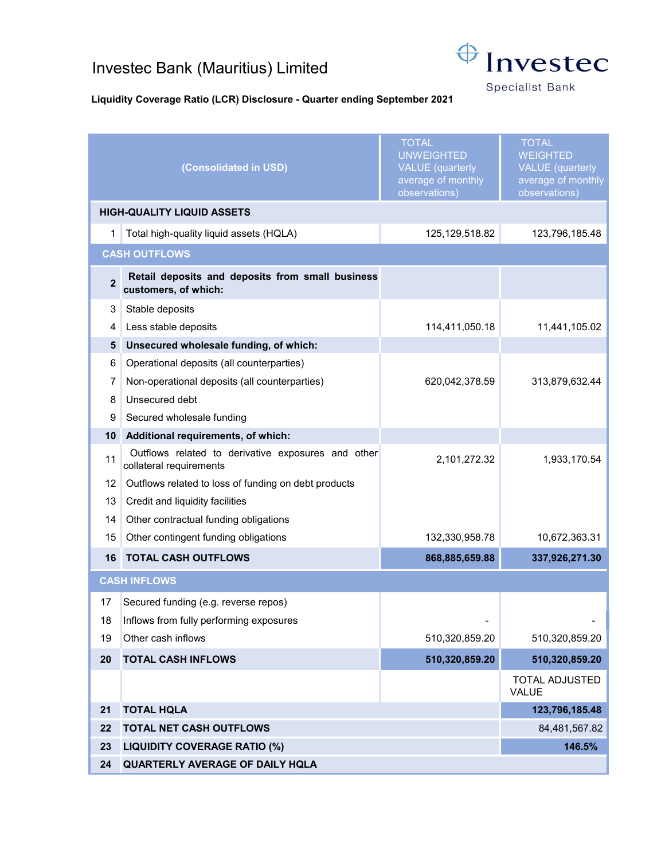## Investec Bank (Mauritius) Limited



**Specialist Bank** 

## Liquidity Coverage Ratio (LCR) Disclosure - Quarter ending September 2021

|                                           | (Consolidated in USD)                                                         | <b>TOTAL</b><br><b>UNWEIGHTED</b><br><b>VALUE</b> (quarterly<br>average of monthly<br>observations) | <b>TOTAL</b><br><b>WEIGHTED</b><br><b>VALUE</b> (quarterly<br>average of monthly<br>observations) |
|-------------------------------------------|-------------------------------------------------------------------------------|-----------------------------------------------------------------------------------------------------|---------------------------------------------------------------------------------------------------|
| <b>HIGH-QUALITY LIQUID ASSETS</b>         |                                                                               |                                                                                                     |                                                                                                   |
| 1                                         | Total high-quality liquid assets (HQLA)                                       | 125, 129, 518.82                                                                                    | 123,796,185.48                                                                                    |
| <b>CASH OUTFLOWS</b>                      |                                                                               |                                                                                                     |                                                                                                   |
| $\overline{2}$                            | Retail deposits and deposits from small business<br>customers, of which:      |                                                                                                     |                                                                                                   |
| 3                                         | Stable deposits                                                               |                                                                                                     |                                                                                                   |
| 4                                         | Less stable deposits                                                          | 114,411,050.18                                                                                      | 11,441,105.02                                                                                     |
| 5                                         | Unsecured wholesale funding, of which:                                        |                                                                                                     |                                                                                                   |
| 6                                         | Operational deposits (all counterparties)                                     |                                                                                                     |                                                                                                   |
| 7                                         | Non-operational deposits (all counterparties)                                 | 620,042,378.59                                                                                      | 313,879,632.44                                                                                    |
| 8                                         | Unsecured debt                                                                |                                                                                                     |                                                                                                   |
| 9                                         | Secured wholesale funding                                                     |                                                                                                     |                                                                                                   |
| 10                                        | Additional requirements, of which:                                            |                                                                                                     |                                                                                                   |
| 11                                        | Outflows related to derivative exposures and other<br>collateral requirements | 2,101,272.32                                                                                        | 1,933,170.54                                                                                      |
| 12 <sup>°</sup>                           | Outflows related to loss of funding on debt products                          |                                                                                                     |                                                                                                   |
| 13                                        | Credit and liquidity facilities                                               |                                                                                                     |                                                                                                   |
| 14                                        | Other contractual funding obligations                                         |                                                                                                     |                                                                                                   |
| 15                                        | Other contingent funding obligations                                          | 132,330,958.78                                                                                      | 10,672,363.31                                                                                     |
| 16                                        | <b>TOTAL CASH OUTFLOWS</b>                                                    | 868,885,659.88                                                                                      | 337,926,271.30                                                                                    |
| <b>CASH INFLOWS</b>                       |                                                                               |                                                                                                     |                                                                                                   |
| 17                                        | Secured funding (e.g. reverse repos)                                          |                                                                                                     |                                                                                                   |
| 18                                        | Inflows from fully performing exposures                                       |                                                                                                     |                                                                                                   |
| 19                                        | Other cash inflows                                                            | 510,320,859.20                                                                                      | 510,320,859.20                                                                                    |
| 20                                        | <b>TOTAL CASH INFLOWS</b>                                                     | 510,320,859.20                                                                                      | 510,320,859.20                                                                                    |
|                                           |                                                                               |                                                                                                     | <b>TOTAL ADJUSTED</b><br>VALUE                                                                    |
| 21<br><b>TOTAL HQLA</b>                   |                                                                               | 123,796,185.48                                                                                      |                                                                                                   |
| 22<br><b>TOTAL NET CASH OUTFLOWS</b>      |                                                                               | 84,481,567.82                                                                                       |                                                                                                   |
| 23<br><b>LIQUIDITY COVERAGE RATIO (%)</b> |                                                                               |                                                                                                     | 146.5%                                                                                            |
| 24                                        | QUARTERLY AVERAGE OF DAILY HQLA                                               |                                                                                                     |                                                                                                   |